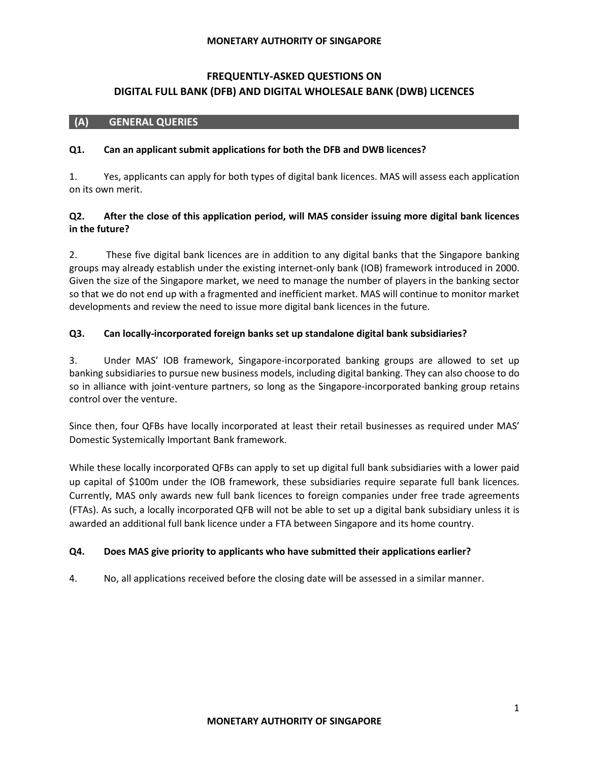# **FREQUENTLY-ASKED QUESTIONS ON DIGITAL FULL BANK (DFB) AND DIGITAL WHOLESALE BANK (DWB) LICENCES**

## **(A) GENERAL QUERIES**

### **Q1. Can an applicant submit applications for both the DFB and DWB licences?**

1. Yes, applicants can apply for both types of digital bank licences. MAS will assess each application on its own merit.

# **Q2. After the close of this application period, will MAS consider issuing more digital bank licences in the future?**

2. These five digital bank licences are in addition to any digital banks that the Singapore banking groups may already establish under the existing internet-only bank (IOB) framework introduced in 2000. Given the size of the Singapore market, we need to manage the number of players in the banking sector so that we do not end up with a fragmented and inefficient market. MAS will continue to monitor market developments and review the need to issue more digital bank licences in the future.

## **Q3. Can locally-incorporated foreign banks set up standalone digital bank subsidiaries?**

3. Under MAS' IOB framework, Singapore-incorporated banking groups are allowed to set up banking subsidiaries to pursue new business models, including digital banking. They can also choose to do so in alliance with joint-venture partners, so long as the Singapore-incorporated banking group retains control over the venture.

Since then, four QFBs have locally incorporated at least their retail businesses as required under MAS' Domestic Systemically Important Bank framework.

While these locally incorporated QFBs can apply to set up digital full bank subsidiaries with a lower paid up capital of \$100m under the IOB framework, these subsidiaries require separate full bank licences. Currently, MAS only awards new full bank licences to foreign companies under free trade agreements (FTAs). As such, a locally incorporated QFB will not be able to set up a digital bank subsidiary unless it is awarded an additional full bank licence under a FTA between Singapore and its home country.

### **Q4. Does MAS give priority to applicants who have submitted their applications earlier?**

4. No, all applications received before the closing date will be assessed in a similar manner.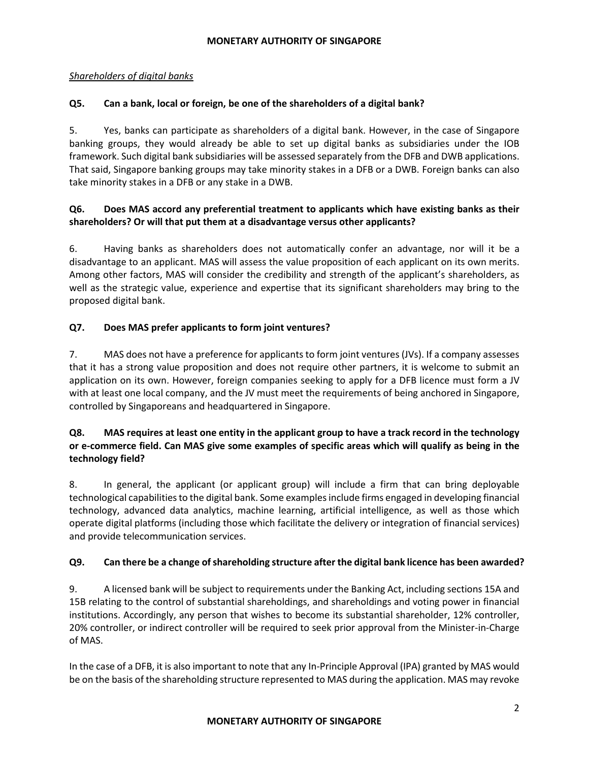## *Shareholders of digital banks*

# **Q5. Can a bank, local or foreign, be one of the shareholders of a digital bank?**

5. Yes, banks can participate as shareholders of a digital bank. However, in the case of Singapore banking groups, they would already be able to set up digital banks as subsidiaries under the IOB framework. Such digital bank subsidiaries will be assessed separately from the DFB and DWB applications. That said, Singapore banking groups may take minority stakes in a DFB or a DWB. Foreign banks can also take minority stakes in a DFB or any stake in a DWB.

# **Q6. Does MAS accord any preferential treatment to applicants which have existing banks as their shareholders? Or will that put them at a disadvantage versus other applicants?**

6. Having banks as shareholders does not automatically confer an advantage, nor will it be a disadvantage to an applicant. MAS will assess the value proposition of each applicant on its own merits. Among other factors, MAS will consider the credibility and strength of the applicant's shareholders, as well as the strategic value, experience and expertise that its significant shareholders may bring to the proposed digital bank.

## **Q7. Does MAS prefer applicants to form joint ventures?**

7. MAS does not have a preference for applicants to form joint ventures (JVs). If a company assesses that it has a strong value proposition and does not require other partners, it is welcome to submit an application on its own. However, foreign companies seeking to apply for a DFB licence must form a JV with at least one local company, and the JV must meet the requirements of being anchored in Singapore, controlled by Singaporeans and headquartered in Singapore.

# **Q8. MAS requires at least one entity in the applicant group to have a track record in the technology or e-commerce field. Can MAS give some examples of specific areas which will qualify as being in the technology field?**

8. In general, the applicant (or applicant group) will include a firm that can bring deployable technological capabilities to the digital bank. Some examples include firms engaged in developing financial technology, advanced data analytics, machine learning, artificial intelligence, as well as those which operate digital platforms (including those which facilitate the delivery or integration of financial services) and provide telecommunication services.

# **Q9. Can there be a change of shareholding structure after the digital bank licence has been awarded?**

9. A licensed bank will be subject to requirements under the Banking Act, including sections 15A and 15B relating to the control of substantial shareholdings, and shareholdings and voting power in financial institutions. Accordingly, any person that wishes to become its substantial shareholder, 12% controller, 20% controller, or indirect controller will be required to seek prior approval from the Minister-in-Charge of MAS.

In the case of a DFB, it is also important to note that any In-Principle Approval (IPA) granted by MAS would be on the basis of the shareholding structure represented to MAS during the application. MAS may revoke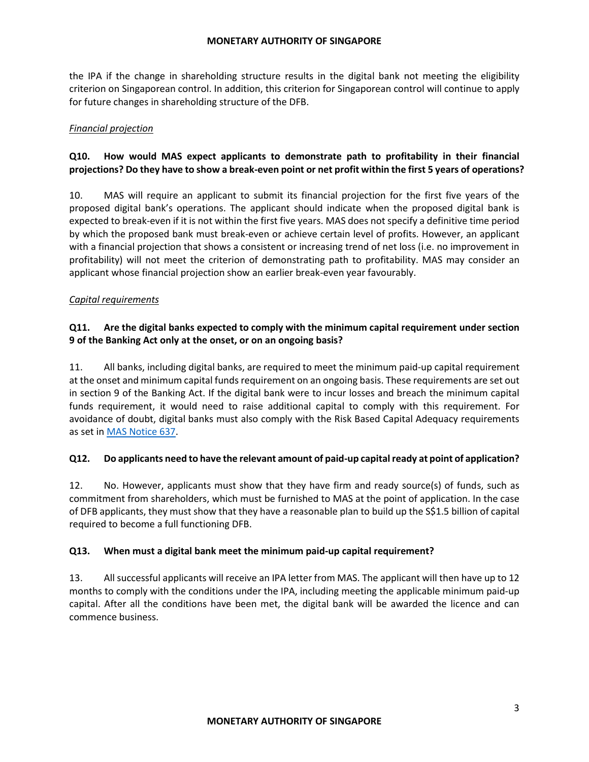the IPA if the change in shareholding structure results in the digital bank not meeting the eligibility criterion on Singaporean control. In addition, this criterion for Singaporean control will continue to apply for future changes in shareholding structure of the DFB.

## *Financial projection*

# **Q10. How would MAS expect applicants to demonstrate path to profitability in their financial projections? Do they have to show a break-even point or net profit within the first 5 years of operations?**

10. MAS will require an applicant to submit its financial projection for the first five years of the proposed digital bank's operations. The applicant should indicate when the proposed digital bank is expected to break-even if it is not within the first five years. MAS does not specify a definitive time period by which the proposed bank must break-even or achieve certain level of profits. However, an applicant with a financial projection that shows a consistent or increasing trend of net loss (i.e. no improvement in profitability) will not meet the criterion of demonstrating path to profitability. MAS may consider an applicant whose financial projection show an earlier break-even year favourably.

## *Capital requirements*

# **Q11. Are the digital banks expected to comply with the minimum capital requirement under section 9 of the Banking Act only at the onset, or on an ongoing basis?**

11. All banks, including digital banks, are required to meet the minimum paid-up capital requirement at the onset and minimum capital funds requirement on an ongoing basis. These requirements are set out in section 9 of the Banking Act. If the digital bank were to incur losses and breach the minimum capital funds requirement, it would need to raise additional capital to comply with this requirement. For avoidance of doubt, digital banks must also comply with the Risk Based Capital Adequacy requirements as set in [MAS Notice 637.](https://www.mas.gov.sg/regulation/notices/notice-637)

### **Q12. Do applicants need to have the relevant amount of paid-up capital ready at point of application?**

12. No. However, applicants must show that they have firm and ready source(s) of funds, such as commitment from shareholders, which must be furnished to MAS at the point of application. In the case of DFB applicants, they must show that they have a reasonable plan to build up the S\$1.5 billion of capital required to become a full functioning DFB.

### **Q13. When must a digital bank meet the minimum paid-up capital requirement?**

13. All successful applicants will receive an IPA letter from MAS. The applicant will then have up to 12 months to comply with the conditions under the IPA, including meeting the applicable minimum paid-up capital. After all the conditions have been met, the digital bank will be awarded the licence and can commence business.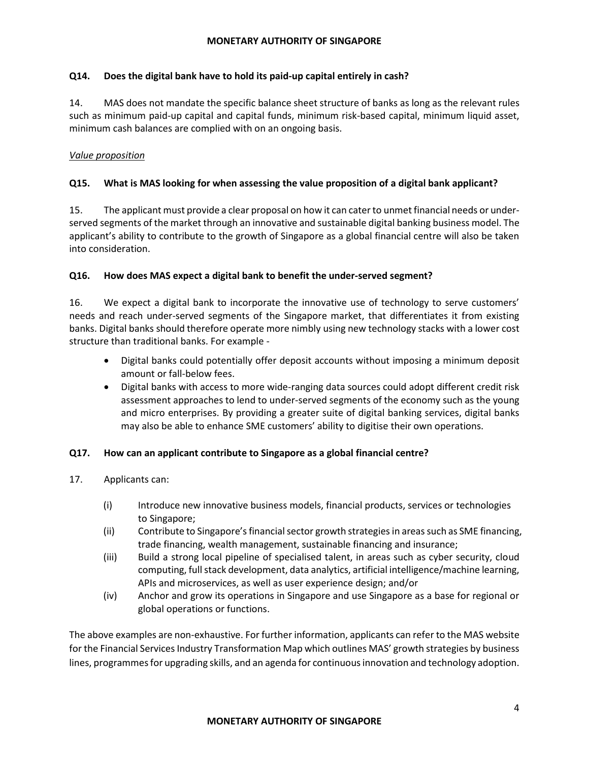### **Q14. Does the digital bank have to hold its paid-up capital entirely in cash?**

14. MAS does not mandate the specific balance sheet structure of banks as long as the relevant rules such as minimum paid-up capital and capital funds, minimum risk-based capital, minimum liquid asset, minimum cash balances are complied with on an ongoing basis.

# *Value proposition*

## **Q15. What is MAS looking for when assessing the value proposition of a digital bank applicant?**

15. The applicant must provide a clear proposal on how it can cater to unmet financial needs or underserved segments of the market through an innovative and sustainable digital banking business model. The applicant's ability to contribute to the growth of Singapore as a global financial centre will also be taken into consideration.

### **Q16. How does MAS expect a digital bank to benefit the under-served segment?**

16. We expect a digital bank to incorporate the innovative use of technology to serve customers' needs and reach under-served segments of the Singapore market, that differentiates it from existing banks. Digital banks should therefore operate more nimbly using new technology stacks with a lower cost structure than traditional banks. For example -

- Digital banks could potentially offer deposit accounts without imposing a minimum deposit amount or fall-below fees.
- Digital banks with access to more wide-ranging data sources could adopt different credit risk assessment approaches to lend to under-served segments of the economy such as the young and micro enterprises. By providing a greater suite of digital banking services, digital banks may also be able to enhance SME customers' ability to digitise their own operations.

### **Q17. How can an applicant contribute to Singapore as a global financial centre?**

- 17. Applicants can:
	- (i) Introduce new innovative business models, financial products, services or technologies to Singapore;
	- (ii) Contribute to Singapore's financial sector growth strategies in areas such as SME financing, trade financing, wealth management, sustainable financing and insurance;
	- (iii) Build a strong local pipeline of specialised talent, in areas such as cyber security, cloud computing, full stack development, data analytics, artificial intelligence/machine learning, APIs and microservices, as well as user experience design; and/or
	- (iv) Anchor and grow its operations in Singapore and use Singapore as a base for regional or global operations or functions.

The above examples are non-exhaustive. For further information, applicants can refer to the MAS website for the Financial Services Industry Transformation Map which outlines MAS' growth strategies by business lines, programmes for upgrading skills, and an agenda for continuous innovation and technology adoption.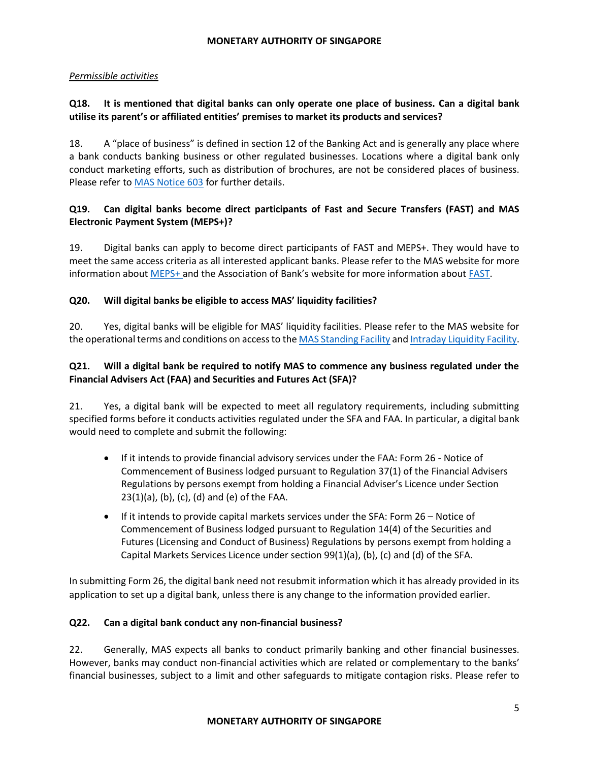### *Permissible activities*

## **Q18. It is mentioned that digital banks can only operate one place of business. Can a digital bank utilise its parent's or affiliated entities' premises to market its products and services?**

18. A "place of business" is defined in section 12 of the Banking Act and is generally any place where a bank conducts banking business or other regulated businesses. Locations where a digital bank only conduct marketing efforts, such as distribution of brochures, are not be considered places of business. Please refer t[o MAS Notice 603](https://www.mas.gov.sg/-/media/MAS/Notices/PDF/MAS-Notice-603_29-Nov-2013.pdf) for further details.

# **Q19. Can digital banks become direct participants of Fast and Secure Transfers (FAST) and MAS Electronic Payment System (MEPS+)?**

19. Digital banks can apply to become direct participants of FAST and MEPS+. They would have to meet the same access criteria as all interested applicant banks. Please refer to the MAS website for more information about [MEPS+](https://www.mas.gov.sg/regulation/payments/meps) and the Association of Bank's website for more information about [FAST.](https://www.abs.org.sg/consumer-banking/fast)

## **Q20. Will digital banks be eligible to access MAS' liquidity facilities?**

20. Yes, digital banks will be eligible for MAS' liquidity facilities. Please refer to the MAS website for the operational terms and conditions on access to th[e MAS Standing Facility](https://www.mas.gov.sg/monetary-policy/liquidity-facilities/mas-standing-facility) an[d Intraday Liquidity Facility.](https://www.mas.gov.sg/monetary-policy/liquidity-facilities/mas-intraday-liquidity-facility)

# **Q21. Will a digital bank be required to notify MAS to commence any business regulated under the Financial Advisers Act (FAA) and Securities and Futures Act (SFA)?**

21. Yes, a digital bank will be expected to meet all regulatory requirements, including submitting specified forms before it conducts activities regulated under the SFA and FAA. In particular, a digital bank would need to complete and submit the following:

- If it intends to provide financial advisory services under the FAA: Form 26 Notice of Commencement of Business lodged pursuant to Regulation 37(1) of the Financial Advisers Regulations by persons exempt from holding a Financial Adviser's Licence under Section 23(1)(a), (b), (c), (d) and (e) of the FAA.
- $\bullet$  If it intends to provide capital markets services under the SFA: Form 26 Notice of Commencement of Business lodged pursuant to Regulation 14(4) of the Securities and Futures (Licensing and Conduct of Business) Regulations by persons exempt from holding a Capital Markets Services Licence under section 99(1)(a), (b), (c) and (d) of the SFA.

In submitting Form 26, the digital bank need not resubmit information which it has already provided in its application to set up a digital bank, unless there is any change to the information provided earlier.

### **Q22. Can a digital bank conduct any non-financial business?**

22. Generally, MAS expects all banks to conduct primarily banking and other financial businesses. However, banks may conduct non-financial activities which are related or complementary to the banks' financial businesses, subject to a limit and other safeguards to mitigate contagion risks. Please refer to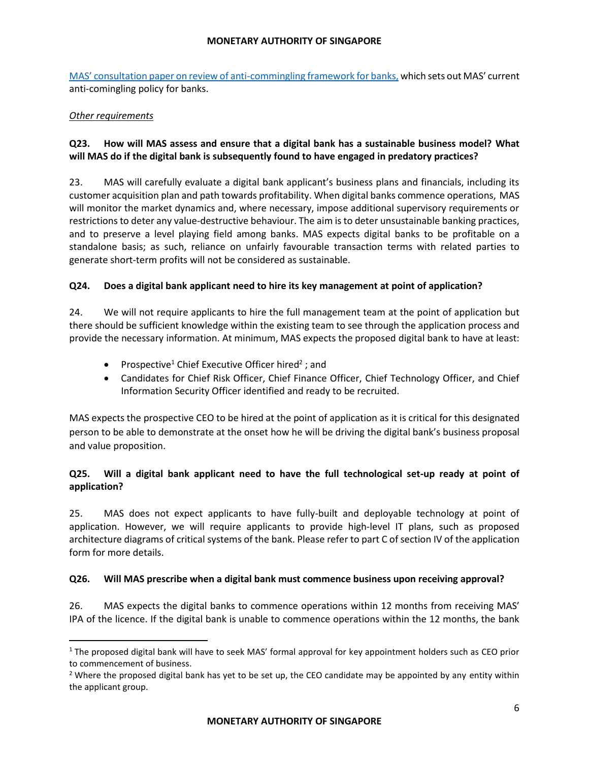MAS' con[sultation paper on review of anti-commingling framework for banks,](https://www.mas.gov.sg/-/media/MAS/News-and-Publications/Consultation-Papers/Consultation-Paper-on-Review-of-Anti-Commingling-Framework.pdf) which sets out MAS' current anti-comingling policy for banks.

#### *Other requirements*

l

# **Q23. How will MAS assess and ensure that a digital bank has a sustainable business model? What will MAS do if the digital bank is subsequently found to have engaged in predatory practices?**

23. MAS will carefully evaluate a digital bank applicant's business plans and financials, including its customer acquisition plan and path towards profitability. When digital banks commence operations, MAS will monitor the market dynamics and, where necessary, impose additional supervisory requirements or restrictions to deter any value-destructive behaviour. The aim is to deter unsustainable banking practices, and to preserve a level playing field among banks. MAS expects digital banks to be profitable on a standalone basis; as such, reliance on unfairly favourable transaction terms with related parties to generate short-term profits will not be considered as sustainable.

### **Q24. Does a digital bank applicant need to hire its key management at point of application?**

24. We will not require applicants to hire the full management team at the point of application but there should be sufficient knowledge within the existing team to see through the application process and provide the necessary information. At minimum, MAS expects the proposed digital bank to have at least:

- Prospective<sup>1</sup> Chief Executive Officer hired<sup>2</sup>; and
- Candidates for Chief Risk Officer, Chief Finance Officer, Chief Technology Officer, and Chief Information Security Officer identified and ready to be recruited.

MAS expects the prospective CEO to be hired at the point of application as it is critical for this designated person to be able to demonstrate at the onset how he will be driving the digital bank's business proposal and value proposition.

# **Q25. Will a digital bank applicant need to have the full technological set-up ready at point of application?**

25. MAS does not expect applicants to have fully-built and deployable technology at point of application. However, we will require applicants to provide high-level IT plans, such as proposed architecture diagrams of critical systems of the bank. Please refer to part C of section IV of the application form for more details.

### **Q26. Will MAS prescribe when a digital bank must commence business upon receiving approval?**

26. MAS expects the digital banks to commence operations within 12 months from receiving MAS' IPA of the licence. If the digital bank is unable to commence operations within the 12 months, the bank

<sup>&</sup>lt;sup>1</sup> The proposed digital bank will have to seek MAS' formal approval for key appointment holders such as CEO prior to commencement of business.

<sup>&</sup>lt;sup>2</sup> Where the proposed digital bank has yet to be set up, the CEO candidate may be appointed by any entity within the applicant group.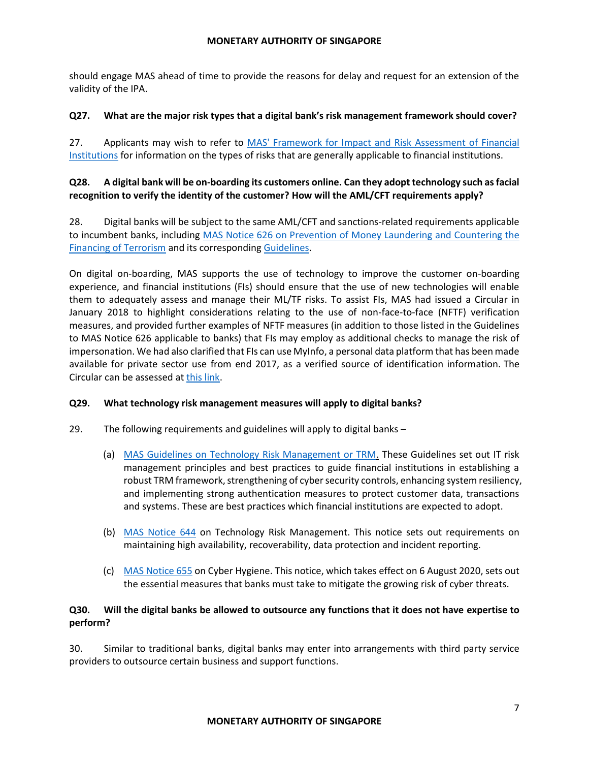should engage MAS ahead of time to provide the reasons for delay and request for an extension of the validity of the IPA.

## **Q27. What are the major risk types that a digital bank's risk management framework should cover?**

27. Applicants may wish to refer to MAS' Framework for Impact and Risk Assessment of Financial [Institutions](https://www.mas.gov.sg/publications/monographs-or-information-paper/2007/mas-framework-for-impact-and-risk-assessment-of-financial-institutions) for information on the types of risks that are generally applicable to financial institutions.

## **Q28. A digital bank will be on-boarding its customers online. Can they adopt technology such as facial recognition to verify the identity of the customer? How will the AML/CFT requirements apply?**

28. Digital banks will be subject to the same AML/CFT and sanctions-related requirements applicable to incumbent banks, including [MAS Notice 626 on Prevention of Money Laundering and Countering the](https://www.mas.gov.sg/regulation/notices/notice-626)  [Financing of Terrorism](https://www.mas.gov.sg/regulation/notices/notice-626) and its corresponding [Guidelines.](https://www.mas.gov.sg/regulation/guidelines/guidelines-to-notice-626-on-prevention-of-money-laundering-and-cft-for-banks)

On digital on-boarding, MAS supports the use of technology to improve the customer on-boarding experience, and financial institutions (FIs) should ensure that the use of new technologies will enable them to adequately assess and manage their ML/TF risks. To assist FIs, MAS had issued a Circular in January 2018 to highlight considerations relating to the use of non-face-to-face (NFTF) verification measures, and provided further examples of NFTF measures (in addition to those listed in the Guidelines to MAS Notice 626 applicable to banks) that FIs may employ as additional checks to manage the risk of impersonation. We had also clarified that FIs can use MyInfo, a personal data platform that has been made available for private sector use from end 2017, as a verified source of identification information. The Circular can be assessed at [this link.](https://www.mas.gov.sg/regulation/circulars/circular-on-use-of-myinfo-and-cdd-measures-for-non-face-to-face-business-relations)

### **Q29. What technology risk management measures will apply to digital banks?**

- 29. The following requirements and guidelines will apply to digital banks
	- (a) [MAS Guidelines on Technology Risk Management or TRM.](https://www.mas.gov.sg/regulation/guidelines/technology-risk-management-guidelines) These Guidelines set out IT risk management principles and best practices to guide financial institutions in establishing a robust TRM framework, strengthening of cyber security controls, enhancing system resiliency, and implementing strong authentication measures to protect customer data, transactions and systems. These are best practices which financial institutions are expected to adopt.
	- (b) [MAS Notice 644](https://www.mas.gov.sg/-/media/MAS/Notices/PDF/Notice-MAS-644.pdf) on Technology Risk Management. This notice sets out requirements on maintaining high availability, recoverability, data protection and incident reporting.
	- (c) [MAS Notice 655](https://www.mas.gov.sg/-/media/MAS/Notices/PDF/MAS-Notice-655.pdf) on Cyber Hygiene. This notice, which takes effect on 6 August 2020, sets out the essential measures that banks must take to mitigate the growing risk of cyber threats.

## **Q30. Will the digital banks be allowed to outsource any functions that it does not have expertise to perform?**

30. Similar to traditional banks, digital banks may enter into arrangements with third party service providers to outsource certain business and support functions.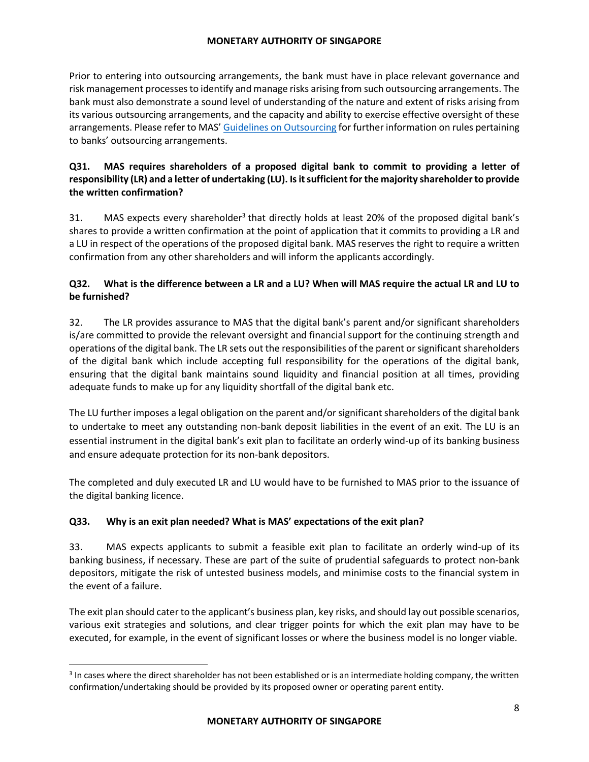Prior to entering into outsourcing arrangements, the bank must have in place relevant governance and risk management processes to identify and manage risks arising from such outsourcing arrangements. The bank must also demonstrate a sound level of understanding of the nature and extent of risks arising from its various outsourcing arrangements, and the capacity and ability to exercise effective oversight of these arrangements. Please refer to MAS' [Guidelines on Outsourcing](https://www.mas.gov.sg/regulation/guidelines/guidelines-on-outsourcing) for further information on rules pertaining to banks' outsourcing arrangements.

# **Q31. MAS requires shareholders of a proposed digital bank to commit to providing a letter of responsibility (LR) and a letter of undertaking (LU). Is it sufficient for the majority shareholder to provide the written confirmation?**

31. MAS expects every shareholder<sup>3</sup> that directly holds at least 20% of the proposed digital bank's shares to provide a written confirmation at the point of application that it commits to providing a LR and a LU in respect of the operations of the proposed digital bank. MAS reserves the right to require a written confirmation from any other shareholders and will inform the applicants accordingly.

# **Q32. What is the difference between a LR and a LU? When will MAS require the actual LR and LU to be furnished?**

32. The LR provides assurance to MAS that the digital bank's parent and/or significant shareholders is/are committed to provide the relevant oversight and financial support for the continuing strength and operations of the digital bank. The LR sets out the responsibilities of the parent or significant shareholders of the digital bank which include accepting full responsibility for the operations of the digital bank, ensuring that the digital bank maintains sound liquidity and financial position at all times, providing adequate funds to make up for any liquidity shortfall of the digital bank etc.

The LU further imposes a legal obligation on the parent and/or significant shareholders of the digital bank to undertake to meet any outstanding non-bank deposit liabilities in the event of an exit. The LU is an essential instrument in the digital bank's exit plan to facilitate an orderly wind-up of its banking business and ensure adequate protection for its non-bank depositors.

The completed and duly executed LR and LU would have to be furnished to MAS prior to the issuance of the digital banking licence.

# **Q33. Why is an exit plan needed? What is MAS' expectations of the exit plan?**

 $\overline{\phantom{a}}$ 

33. MAS expects applicants to submit a feasible exit plan to facilitate an orderly wind-up of its banking business, if necessary. These are part of the suite of prudential safeguards to protect non-bank depositors, mitigate the risk of untested business models, and minimise costs to the financial system in the event of a failure.

The exit plan should cater to the applicant's business plan, key risks, and should lay out possible scenarios, various exit strategies and solutions, and clear trigger points for which the exit plan may have to be executed, for example, in the event of significant losses or where the business model is no longer viable.

 $3$  In cases where the direct shareholder has not been established or is an intermediate holding company, the written confirmation/undertaking should be provided by its proposed owner or operating parent entity.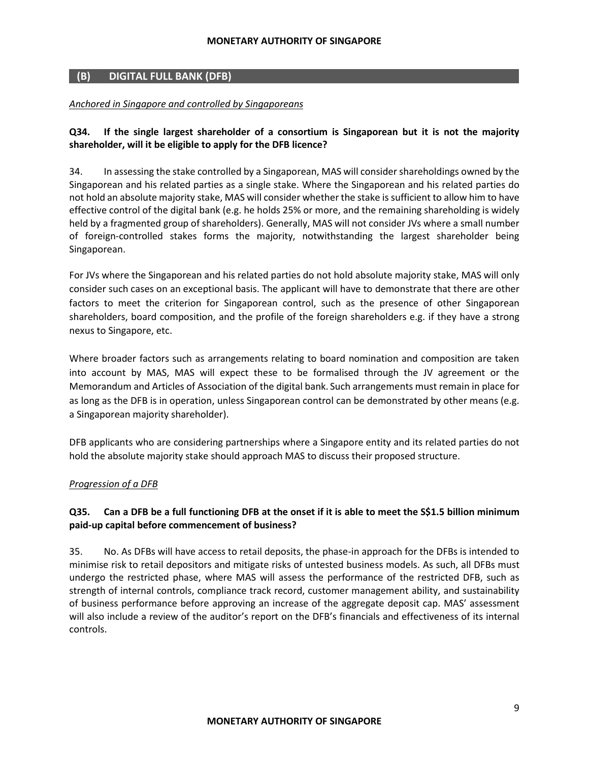# **(B) DIGITAL FULL BANK (DFB)**

#### *Anchored in Singapore and controlled by Singaporeans*

## **Q34. If the single largest shareholder of a consortium is Singaporean but it is not the majority shareholder, will it be eligible to apply for the DFB licence?**

34. In assessing the stake controlled by a Singaporean, MAS will consider shareholdings owned by the Singaporean and his related parties as a single stake. Where the Singaporean and his related parties do not hold an absolute majority stake, MAS will consider whether the stake is sufficient to allow him to have effective control of the digital bank (e.g. he holds 25% or more, and the remaining shareholding is widely held by a fragmented group of shareholders). Generally, MAS will not consider JVs where a small number of foreign-controlled stakes forms the majority, notwithstanding the largest shareholder being Singaporean.

For JVs where the Singaporean and his related parties do not hold absolute majority stake, MAS will only consider such cases on an exceptional basis. The applicant will have to demonstrate that there are other factors to meet the criterion for Singaporean control, such as the presence of other Singaporean shareholders, board composition, and the profile of the foreign shareholders e.g. if they have a strong nexus to Singapore, etc.

Where broader factors such as arrangements relating to board nomination and composition are taken into account by MAS, MAS will expect these to be formalised through the JV agreement or the Memorandum and Articles of Association of the digital bank. Such arrangements must remain in place for as long as the DFB is in operation, unless Singaporean control can be demonstrated by other means (e.g. a Singaporean majority shareholder).

DFB applicants who are considering partnerships where a Singapore entity and its related parties do not hold the absolute majority stake should approach MAS to discuss their proposed structure.

### *Progression of a DFB*

## **Q35. Can a DFB be a full functioning DFB at the onset if it is able to meet the S\$1.5 billion minimum paid-up capital before commencement of business?**

35. No. As DFBs will have access to retail deposits, the phase-in approach for the DFBs is intended to minimise risk to retail depositors and mitigate risks of untested business models. As such, all DFBs must undergo the restricted phase, where MAS will assess the performance of the restricted DFB, such as strength of internal controls, compliance track record, customer management ability, and sustainability of business performance before approving an increase of the aggregate deposit cap. MAS' assessment will also include a review of the auditor's report on the DFB's financials and effectiveness of its internal controls.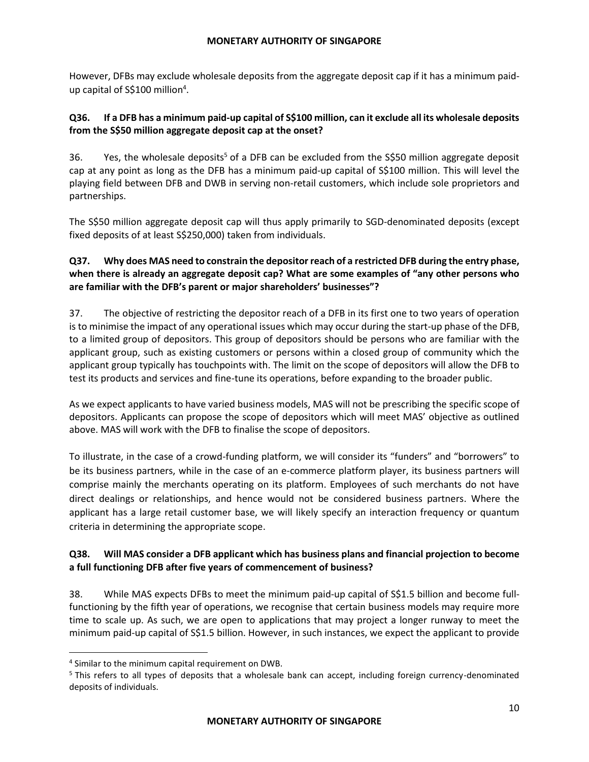However, DFBs may exclude wholesale deposits from the aggregate deposit cap if it has a minimum paidup capital of S\$100 million<sup>4</sup>.

# **Q36. If a DFB has a minimum paid-up capital of S\$100 million, can it exclude all its wholesale deposits from the S\$50 million aggregate deposit cap at the onset?**

36. Yes, the wholesale deposits<sup>5</sup> of a DFB can be excluded from the S\$50 million aggregate deposit cap at any point as long as the DFB has a minimum paid-up capital of S\$100 million. This will level the playing field between DFB and DWB in serving non-retail customers, which include sole proprietors and partnerships.

The S\$50 million aggregate deposit cap will thus apply primarily to SGD-denominated deposits (except fixed deposits of at least S\$250,000) taken from individuals.

# **Q37. Why does MAS need to constrain the depositor reach of a restricted DFB during the entry phase, when there is already an aggregate deposit cap? What are some examples of "any other persons who are familiar with the DFB's parent or major shareholders' businesses"?**

37. The objective of restricting the depositor reach of a DFB in its first one to two years of operation is to minimise the impact of any operational issues which may occur during the start-up phase of the DFB, to a limited group of depositors. This group of depositors should be persons who are familiar with the applicant group, such as existing customers or persons within a closed group of community which the applicant group typically has touchpoints with. The limit on the scope of depositors will allow the DFB to test its products and services and fine-tune its operations, before expanding to the broader public.

As we expect applicants to have varied business models, MAS will not be prescribing the specific scope of depositors. Applicants can propose the scope of depositors which will meet MAS' objective as outlined above. MAS will work with the DFB to finalise the scope of depositors.

To illustrate, in the case of a crowd-funding platform, we will consider its "funders" and "borrowers" to be its business partners, while in the case of an e-commerce platform player, its business partners will comprise mainly the merchants operating on its platform. Employees of such merchants do not have direct dealings or relationships, and hence would not be considered business partners. Where the applicant has a large retail customer base, we will likely specify an interaction frequency or quantum criteria in determining the appropriate scope.

# **Q38. Will MAS consider a DFB applicant which has business plans and financial projection to become a full functioning DFB after five years of commencement of business?**

38. While MAS expects DFBs to meet the minimum paid-up capital of S\$1.5 billion and become fullfunctioning by the fifth year of operations, we recognise that certain business models may require more time to scale up. As such, we are open to applications that may project a longer runway to meet the minimum paid-up capital of S\$1.5 billion. However, in such instances, we expect the applicant to provide

 $\overline{a}$ 

<sup>4</sup> Similar to the minimum capital requirement on DWB.

<sup>&</sup>lt;sup>5</sup> This refers to all types of deposits that a wholesale bank can accept, including foreign currency-denominated deposits of individuals.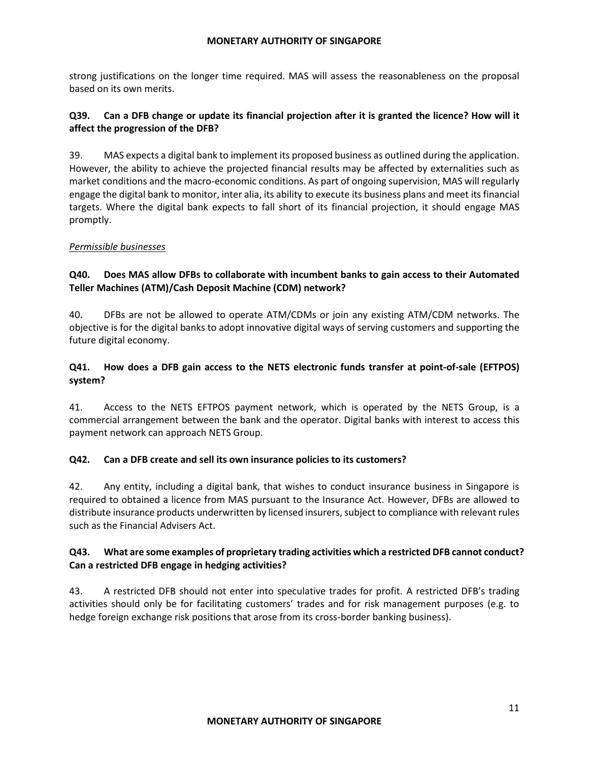strong justifications on the longer time required. MAS will assess the reasonableness on the proposal based on its own merits.

# **Q39. Can a DFB change or update its financial projection after it is granted the licence? How will it affect the progression of the DFB?**

39. MAS expects a digital bank to implement its proposed business as outlined during the application. However, the ability to achieve the projected financial results may be affected by externalities such as market conditions and the macro-economic conditions. As part of ongoing supervision, MAS will regularly engage the digital bank to monitor, inter alia, its ability to execute its business plans and meet its financial targets. Where the digital bank expects to fall short of its financial projection, it should engage MAS promptly.

## *Permissible businesses*

# **Q40. Does MAS allow DFBs to collaborate with incumbent banks to gain access to their Automated Teller Machines (ATM)/Cash Deposit Machine (CDM) network?**

40. DFBs are not be allowed to operate ATM/CDMs or join any existing ATM/CDM networks. The objective is for the digital banks to adopt innovative digital ways of serving customers and supporting the future digital economy.

# **Q41. How does a DFB gain access to the NETS electronic funds transfer at point-of-sale (EFTPOS) system?**

41. Access to the NETS EFTPOS payment network, which is operated by the NETS Group, is a commercial arrangement between the bank and the operator. Digital banks with interest to access this payment network can approach NETS Group.

### **Q42. Can a DFB create and sell its own insurance policies to its customers?**

42. Any entity, including a digital bank, that wishes to conduct insurance business in Singapore is required to obtained a licence from MAS pursuant to the Insurance Act. However, DFBs are allowed to distribute insurance products underwritten by licensed insurers, subject to compliance with relevant rules such as the Financial Advisers Act.

## **Q43. What are some examples of proprietary trading activities which a restricted DFB cannot conduct? Can a restricted DFB engage in hedging activities?**

43. A restricted DFB should not enter into speculative trades for profit. A restricted DFB's trading activities should only be for facilitating customers' trades and for risk management purposes (e.g. to hedge foreign exchange risk positions that arose from its cross-border banking business).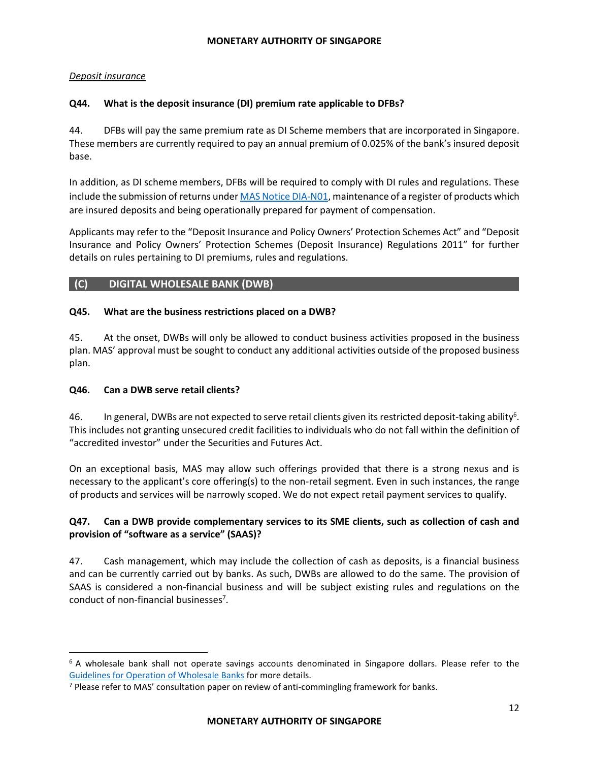# *Deposit insurance*

# **Q44. What is the deposit insurance (DI) premium rate applicable to DFBs?**

44. DFBs will pay the same premium rate as DI Scheme members that are incorporated in Singapore. These members are currently required to pay an annual premium of 0.025% of the bank's insured deposit base.

In addition, as DI scheme members, DFBs will be required to comply with DI rules and regulations. These include the submission of returns unde[r MAS Notice DIA-N01,](https://www.mas.gov.sg/regulation/notices/notice-dia-n01) maintenance of a register of products which are insured deposits and being operationally prepared for payment of compensation.

Applicants may refer to the "Deposit Insurance and Policy Owners' Protection Schemes Act" and "Deposit Insurance and Policy Owners' Protection Schemes (Deposit Insurance) Regulations 2011" for further details on rules pertaining to DI premiums, rules and regulations.

# **(C) DIGITAL WHOLESALE BANK (DWB)**

# **Q45. What are the business restrictions placed on a DWB?**

45. At the onset, DWBs will only be allowed to conduct business activities proposed in the business plan. MAS' approval must be sought to conduct any additional activities outside of the proposed business plan.

# **Q46. Can a DWB serve retail clients?**

 $\overline{a}$ 

46. In general, DWBs are not expected to serve retail clients given its restricted deposit-taking ability<sup>6</sup>. This includes not granting unsecured credit facilities to individuals who do not fall within the definition of "accredited investor" under the Securities and Futures Act.

On an exceptional basis, MAS may allow such offerings provided that there is a strong nexus and is necessary to the applicant's core offering(s) to the non-retail segment. Even in such instances, the range of products and services will be narrowly scoped. We do not expect retail payment services to qualify.

# **Q47. Can a DWB provide complementary services to its SME clients, such as collection of cash and provision of "software as a service" (SAAS)?**

47. Cash management, which may include the collection of cash as deposits, is a financial business and can be currently carried out by banks. As such, DWBs are allowed to do the same. The provision of SAAS is considered a non-financial business and will be subject existing rules and regulations on the conduct of non-financial businesses<sup>7</sup>.

 $6$  A wholesale bank shall not operate savings accounts denominated in Singapore dollars. Please refer to the [Guidelines for Operation of Wholesale Banks](https://www.mas.gov.sg/-/media/MAS/resource/legislation_guidelines/banks/guidelines/Wholesale-Banks-Guidelines.pdf) for more details.

<sup>&</sup>lt;sup>7</sup> Please refer to MAS' consultation paper on review of anti-commingling framework for banks.